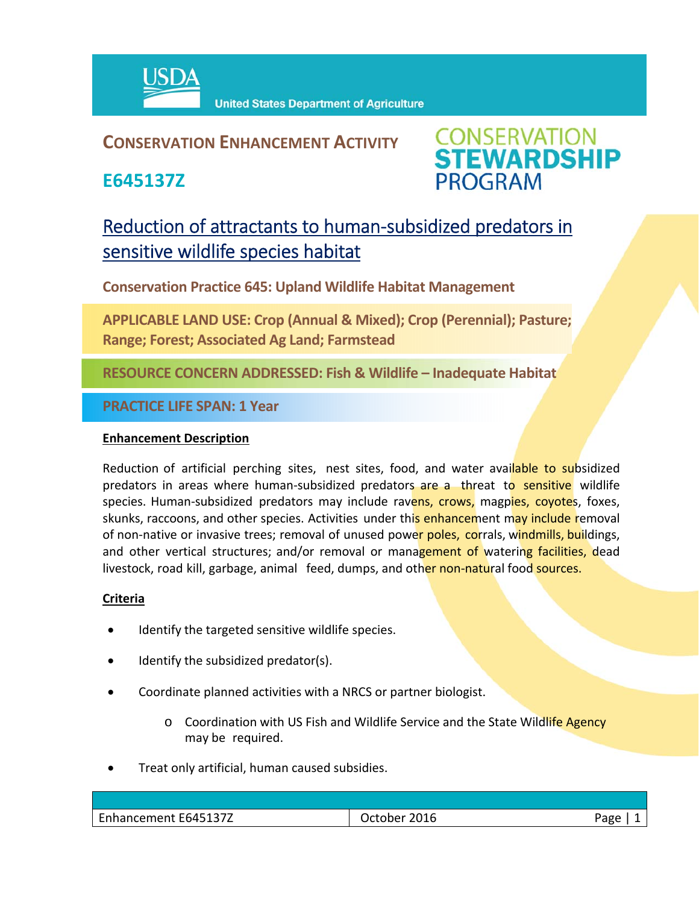

## **CONSERVATION ENHANCEMENT ACTIVITY**

**E645137Z**



# Reduction of attractants to human-subsidized predators in sensitive wildlife species habitat

**Conservation Practice 645: Upland Wildlife Habitat Management**

**APPLICABLE LAND USE: Crop (Annual & Mixed); Crop (Perennial); Pasture; Range; Forest; Associated Ag Land; Farmstead** 

**RESOURCE CONCERN ADDRESSED: Fish & Wildlife – Inadequate Habitat**

**PRACTICE LIFE SPAN: 1 Year**

### **Enhancement Description**

Reduction of artificial perching sites, nest sites, food, and water available to subsidized predators in areas where human-subsidized predators are a threat to sensitive wildlife species. Human-subsidized predators may include ravens, crows, magpies, coyotes, foxes, skunks, raccoons, and other species. Activities under this enhancement may include removal of non-native or invasive trees; removal of unused power poles, corrals, windmills, buildings, and other vertical structures; and/or removal or management of watering facilities, dead livestock, road kill, garbage, animal feed, dumps, and other non-natural food sources.

### **Criteria**

- Identify the targeted sensitive wildlife species.
- Identify the subsidized predator(s).
- Coordinate planned activities with a NRCS or partner biologist.
	- o Coordination with US Fish and Wildlife Service and the State Wildlife Agency may be required.
- Treat only artificial, human caused subsidies.

| Enhancement E645137Z | October 2016 | Page |
|----------------------|--------------|------|